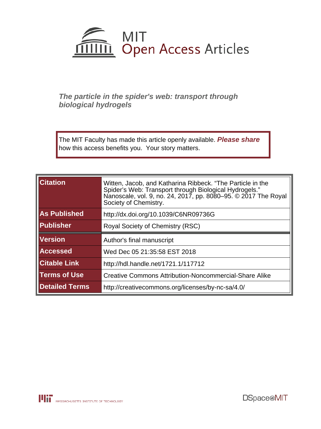

### **The particle in the spider's web: transport through biological hydrogels**

The MIT Faculty has made this article openly available. **[Please share](http://libraries.mit.edu/forms/dspace-oa-articles.html)** how this access benefits you. Your story matters.

| <b>Citation</b>       | Witten, Jacob, and Katharina Ribbeck. "The Particle in the<br>Spider's Web: Transport through Biological Hydrogels."<br>Nanoscale, vol. 9, no. 24, 2017, pp. 8080-95. © 2017 The Roval<br>Society of Chemistry. |
|-----------------------|-----------------------------------------------------------------------------------------------------------------------------------------------------------------------------------------------------------------|
| <b>As Published</b>   | http://dx.doi.org/10.1039/C6NR09736G                                                                                                                                                                            |
| Publisher             | Royal Society of Chemistry (RSC)                                                                                                                                                                                |
| <b>Version</b>        | Author's final manuscript                                                                                                                                                                                       |
| <b>Accessed</b>       | Wed Dec 05 21:35:58 EST 2018                                                                                                                                                                                    |
| <b>Citable Link</b>   | http://hdl.handle.net/1721.1/117712                                                                                                                                                                             |
| <b>Terms of Use</b>   | <b>Creative Commons Attribution-Noncommercial-Share Alike</b>                                                                                                                                                   |
| <b>Detailed Terms</b> | http://creativecommons.org/licenses/by-nc-sa/4.0/                                                                                                                                                               |

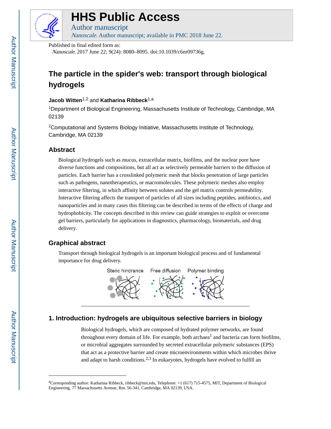

# **HHS Public Access**

Author manuscript Nanoscale. Author manuscript; available in PMC 2018 June 22.

Published in final edited form as:

Nanoscale. 2017 June 22; 9(24): 8080–8095. doi:10.1039/c6nr09736g.

## **The particle in the spider's web: transport through biological hydrogels**

### **Jacob Witten**1,2 and **Katharina Ribbeck**1,a

<sup>1</sup>Department of Biological Engineering, Massachusetts Institute of Technology, Cambridge, MA 02139

<sup>2</sup>Computational and Systems Biology Initiative, Massachusetts Institute of Technology, Cambridge, MA 02139

### **Abstract**

Biological hydrogels such as mucus, extracellular matrix, biofilms, and the nuclear pore have diverse functions and compositions, but all act as selectively permeable barriers to the diffusion of particles. Each barrier has a crosslinked polymeric mesh that blocks penetration of large particles such as pathogens, nanotherapeutics, or macromolecules. These polymeric meshes also employ interactive filtering, in which affinity between solutes and the gel matrix controls permeability. Interactive filtering affects the transport of particles of all sizes including peptides, antibiotics, and nanoparticles and in many cases this filtering can be described in terms of the effects of charge and hydrophobicity. The concepts described in this review can guide strategies to exploit or overcome gel barriers, particularly for applications in diagnostics, pharmacology, biomaterials, and drug delivery.

### **Graphical abstract**

Transport through biological hydrogels is an important biological process and of fundamental importance for drug delivery.



### **1. Introduction: hydrogels are ubiquitous selective barriers in biology**

Biological hydrogels, which are composed of hydrated polymer networks, are found throughout every domain of life. For example, both archaea<sup>1</sup> and bacteria can form biofilms, or microbial aggregates surrounded by secreted extracellular polymeric substances (EPS) that act as a protective barrier and create microenvironments within which microbes thrive and adapt to harsh conditions.<sup>2,3</sup> In eukaryotes, hydrogels have evolved to fulfill an

<sup>&</sup>lt;sup>a</sup>Corresponding author: Katharina Ribbeck, ribbeck@mit.edu, Telephone:  $+1$  (617) 715-4575, MIT, Department of Biological Engineering, 77 Massachusetts Avenue, Rm. 56-341, Cambridge, MA 02139, USA.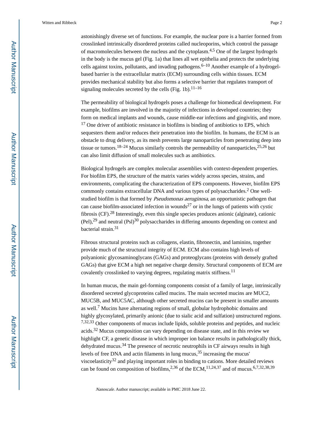astonishingly diverse set of functions. For example, the nuclear pore is a barrier formed from crosslinked intrinsically disordered proteins called nucleoporins, which control the passage of macromolecules between the nucleus and the cytoplasm.4,5 One of the largest hydrogels in the body is the mucus gel (Fig. 1a) that lines all wet epithelia and protects the underlying cells against toxins, pollutants, and invading pathogens.<sup>6–10</sup> Another example of a hydrogelbased barrier is the extracellular matrix (ECM) surrounding cells within tissues. ECM provides mechanical stability but also forms a selective barrier that regulates transport of signaling molecules secreted by the cells (Fig. 1b). $11-16$ 

The permeability of biological hydrogels poses a challenge for biomedical development. For example, biofilms are involved in the majority of infections in developed countries; they form on medical implants and wounds, cause middle-ear infections and gingivitis, and more.  $17$  One driver of antibiotic resistance in biofilms is binding of antibiotics to EPS, which sequesters them and/or reduces their penetration into the biofilm. In humans, the ECM is an obstacle to drug delivery, as its mesh prevents large nanoparticles from penetrating deep into tissue or tumors.<sup>18–24</sup> Mucus similarly controls the permeability of nanoparticles,<sup>25,26</sup> but can also limit diffusion of small molecules such as antibiotics.

Biological hydrogels are complex molecular assemblies with context-dependent properties. For biofilm EPS, the structure of the matrix varies widely across species, strains, and environments, complicating the characterization of EPS components. However, biofilm EPS commonly contains extracellular DNA and various types of polysaccharides.<sup>2</sup> One wellstudied biofilm is that formed by *Pseudomonas aeruginosa*, an opportunistic pathogen that can cause biofilm-associated infection in wounds<sup>27</sup> or in the lungs of patients with cystic fibrosis (CF).28 Interestingly, even this single species produces anionic (alginate), cationic  $(Pe)$ ,<sup>29</sup> and neutral  $(Ps)$ <sup>30</sup> polysaccharides in differing amounts depending on context and bacterial strain.<sup>31</sup>

Fibrous structural proteins such as collagens, elastin, fibronectin, and laminins, together provide much of the structural integrity of ECM. ECM also contains high levels of polyanionic glycosaminoglycans (GAGs) and proteoglycans (proteins with densely grafted GAGs) that give ECM a high net negative charge density. Structural components of ECM are covalently crosslinked to varying degrees, regulating matrix stiffness.<sup>11</sup>

In human mucus, the main gel-forming components consist of a family of large, intrinsically disordered secreted glycoproteins called mucins. The main secreted mucins are MUC2, MUC5B, and MUC5AC, although other secreted mucins can be present in smaller amounts as well.<sup>7</sup> Mucins have alternating regions of small, globular hydrophobic domains and highly glycosylated, primarily anionic (due to sialic acid and sulfation) unstructured regions. 7,32,33 Other components of mucus include lipids, soluble proteins and peptides, and nucleic acids.32 Mucus composition can vary depending on disease state, and in this review we highlight CF, a genetic disease in which improper ion balance results in pathologically thick, dehydrated mucus.34 The presence of necrotic neutrophils in CF airways results in high levels of free DNA and actin filaments in lung mucus,<sup>35</sup> increasing the mucus' viscoelasticity<sup>32</sup> and playing important roles in binding to cations. More detailed reviews can be found on composition of biofilms,<sup>2,36</sup> of the ECM,<sup>11,24,37</sup> and of mucus.<sup>6,7,32,38,39</sup>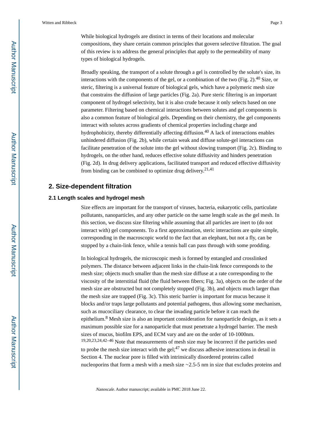While biological hydrogels are distinct in terms of their locations and molecular compositions, they share certain common principles that govern selective filtration. The goal of this review is to address the general principles that apply to the permeability of many types of biological hydrogels.

Broadly speaking, the transport of a solute through a gel is controlled by the solute's size, its interactions with the components of the gel, or a combination of the two (Fig. 2).<sup>40</sup> Size, or steric, filtering is a universal feature of biological gels, which have a polymeric mesh size that constrains the diffusion of large particles (Fig. 2a). Pure steric filtering is an important component of hydrogel selectivity, but it is also crude because it only selects based on one parameter. Filtering based on chemical interactions between solutes and gel components is also a common feature of biological gels. Depending on their chemistry, the gel components interact with solutes across gradients of chemical properties including charge and hydrophobicity, thereby differentially affecting diffusion.<sup>40</sup> A lack of interactions enables unhindered diffusion (Fig. 2b), while certain weak and diffuse solute-gel interactions can facilitate penetration of the solute into the gel without slowing transport (Fig. 2c). Binding to hydrogels, on the other hand, reduces effective solute diffusivity and hinders penetration (Fig. 2d). In drug delivery applications, facilitated transport and reduced effective diffusivity from binding can be combined to optimize drug delivery.  $21,41$ 

### **2. Size-dependent filtration**

### **2.1 Length scales and hydrogel mesh**

Size effects are important for the transport of viruses, bacteria, eukaryotic cells, particulate pollutants, nanoparticles, and any other particle on the same length scale as the gel mesh. In this section, we discuss size filtering while assuming that all particles are inert to (do not interact with) gel components. To a first approximation, steric interactions are quite simple, corresponding in the macroscopic world to the fact that an elephant, but not a fly, can be stopped by a chain-link fence, while a tennis ball can pass through with some prodding.

In biological hydrogels, the microscopic mesh is formed by entangled and crosslinked polymers. The distance between adjacent links in the chain-link fence corresponds to the mesh size; objects much smaller than the mesh size diffuse at a rate corresponding to the viscosity of the interstitial fluid (the fluid between fibers; Fig. 3a), objects on the order of the mesh size are obstructed but not completely stopped (Fig. 3b), and objects much larger than the mesh size are trapped (Fig. 3c). This steric barrier is important for mucus because it blocks and/or traps large pollutants and potential pathogens, thus allowing some mechanism, such as mucociliary clearance, to clear the invading particle before it can reach the epithelium.<sup>8</sup> Mesh size is also an important consideration for nanoparticle design, as it sets a maximum possible size for a nanoparticle that must penetrate a hydrogel barrier. The mesh sizes of mucus, biofilm EPS, and ECM vary and are on the order of 10-1000nm. 19,20,23,24,42–46 Note that measurements of mesh size may be incorrect if the particles used to probe the mesh size interact with the gel; $^{47}$  we discuss adhesive interactions in detail in Section 4. The nuclear pore is filled with intrinsically disordered proteins called nucleoporins that form a mesh with a mesh size ∼2.5-5 nm in size that excludes proteins and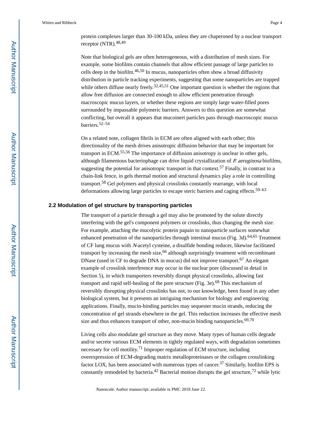protein complexes larger than 30-100 kDa, unless they are chaperoned by a nuclear transport receptor (NTR). $48,49$ 

Note that biological gels are often heterogeneous, with a distribution of mesh sizes. For example, some biofilms contain channels that allow efficient passage of large particles to cells deep in the biofilm.46,50 In mucus, nanoparticles often show a broad diffusivity distribution in particle tracking experiments, suggesting that some nanoparticles are trapped while others diffuse nearly freely.<sup>32,45,51</sup> One important question is whether the regions that allow free diffusion are connected enough to allow efficient penetration through macroscopic mucus layers, or whether these regions are simply large water-filled pores surrounded by impassable polymeric barriers. Answers to this question are somewhat conflicting, but overall it appears that mucoinert particles pass through macroscopic mucus barriers.52–54

On a related note, collagen fibrils in ECM are often aligned with each other; this directionality of the mesh drives anisotropic diffusion behavior that may be important for transport in ECM.55,56 The importance of diffusion anisotropy is unclear in other gels, although filamentous bacteriophage can drive liquid crystallization of  $P$ . aeruginosa biofilms, suggesting the potential for anisotropic transport in that context.<sup>57</sup> Finally, in contrast to a chain-link fence, in gels thermal motion and structural dynamics play a role in controlling transport.58 Gel polymers and physical crosslinks constantly rearrange, with local deformations allowing large particles to escape steric barriers and caging effects.<sup>59–63</sup>

#### **2.2 Modulation of gel structure by transporting particles**

The transport of a particle through a gel may also be promoted by the solute directly interfering with the gel's component polymers or crosslinks, thus changing the mesh size. For example, attaching the mucolytic protein papain to nanoparticle surfaces somewhat enhanced penetration of the nanoparticles through intestinal mucus (Fig. 3d).<sup>64,65</sup> Treatment of CF lung mucus with N-acetyl cysteine, a disulfide bonding reducer, likewise facilitated transport by increasing the mesh size,<sup>66</sup> although surprisingly treatment with recombinant DNase (used in CF to degrade DNA in mucus) did not improve transport.<sup>67</sup> An elegant example of crosslink interference may occur in the nuclear pore (discussed in detail in Section 5), in which transporters reversibly disrupt physical crosslinks, allowing fast transport and rapid self-healing of the pore structure (Fig. 3e).68 This mechanism of reversibly disrupting physical crosslinks has not, to our knowledge, been found in any other biological system, but it presents an intriguing mechanism for biology and engineering applications. Finally, mucin-binding particles may sequester mucin strands, reducing the concentration of gel strands elsewhere in the gel. This reduction increases the effective mesh size and thus enhances transport of other, non-mucin binding nanoparticles. $69,70$ 

Living cells also modulate gel structure as they move. Many types of human cells degrade and/or secrete various ECM elements in tightly regulated ways, with degradation sometimes necessary for cell motility.71 Improper regulation of ECM structure, including overexpression of ECM-degrading matrix metalloproteinases or the collagen crosslinking factor LOX, has been associated with numerous types of cancer.<sup>37</sup> Similarly, biofilm EPS is constantly remodeled by bacteria.<sup>42</sup> Bacterial motion disrupts the gel structure,<sup>72</sup> while lytic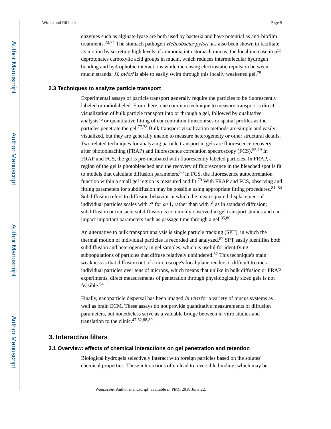enzymes such as alginate lyase are both used by bacteria and have potential as anti-biofilm treatments.<sup>73,74</sup> The stomach pathogen *Helicobacter pylori* has also been shown to facilitate its motion by secreting high levels of ammonia into stomach mucus; the local increase in pH deprotonates carboxylic acid groups in mucin, which reduces intermolecular hydrogen bonding and hydrophobic interactions while increasing electrostatic repulsion between mucin strands. H. pylori is able to easily swim through this locally weakened gel.<sup>75</sup>

### **2.3 Techniques to analyze particle transport**

Experimental assays of particle transport generally require the particles to be fluorescently labeled or radiolabeled. From there, one common technique to measure transport is direct visualization of bulk particle transport into or through a gel, followed by qualitative analysis<sup>76</sup> or quantitative fitting of concentration timecourses or spatial profiles as the particles penetrate the gel.<sup>77,78</sup> Bulk transport visualization methods are simple and easily visualized, but they are generally unable to measure heterogeneity or other structural details. Two related techniques for analyzing particle transport in gels are fluorescence recovery after photobleaching (FRAP) and fluorescence correlation spectroscopy (FCS).<sup>55,79</sup> In FRAP and FCS, the gel is pre-incubated with fluorescently labeled particles. In FRAP, a region of the gel is photobleached and the recovery of fluorescence in the bleached spot is fit to models that calculate diffusion parameters.<sup>80</sup> In FCS, the fluorescence autocorrelation function within a small gel region is measured and fit.<sup>79</sup> With FRAP and FCS, observing and fitting parameters for subdiffusion may be possible using appropriate fitting procedures. <sup>81-84</sup> Subdiffusion refers to diffusion behavior in which the mean squared displacement of individual particles scales with  $t^a$  for  $a<1$ , rather than with  $t^1$  as in standard diffusion; subdiffusion or transient subdiffusion is commonly observed in gel transport studies and can impact important parameters such as passage time through a gel. $85,86$ 

An alternative to bulk transport analysis is single particle tracking (SPT), in which the thermal motion of individual particles is recorded and analyzed.87 SPT easily identifies both subdiffusion and heterogeneity in gel samples, which is useful for identifying subpopulations of particles that diffuse relatively unhindered.<sup>32</sup> This technique's main weakness is that diffusion out of a microscope's focal plane renders it difficult to track individual particles over tens of microns, which means that unlike in bulk diffusion or FRAP experiments, direct measurements of penetration through physiologically sized gels is not feasible.<sup>54</sup>

Finally, nanoparticle dispersal has been imaged *in vivo* for a variety of mucus systems as well as brain ECM. These assays do not provide quantitative measurements of diffusion parameters, but nonetheless serve as a valuable bridge between in vitro studies and translation to the clinic.47,52,88,89

### **3. Interactive filters**

### **3.1 Overview: effects of chemical interactions on gel penetration and retention**

Biological hydrogels selectively interact with foreign particles based on the solutes' chemical properties. These interactions often lead to reversible binding, which may be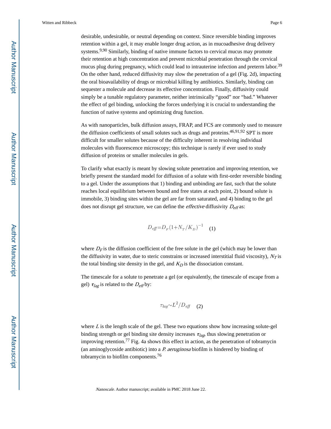desirable, undesirable, or neutral depending on context. Since reversible binding improves retention within a gel, it may enable longer drug action, as in mucoadhesive drug delivery systems.<sup>9,90</sup> Similarly, binding of native immune factors to cervical mucus may promote their retention at high concentration and prevent microbial penetration through the cervical mucus plug during pregnancy, which could lead to intrauterine infection and preterm labor.<sup>39</sup> On the other hand, reduced diffusivity may slow the penetration of a gel (Fig. 2d), impacting the oral bioavailability of drugs or microbial killing by antibiotics. Similarly, binding can sequester a molecule and decrease its effective concentration. Finally, diffusivity could simply be a tunable regulatory parameter, neither intrinsically "good" nor "bad." Whatever the effect of gel binding, unlocking the forces underlying it is crucial to understanding the function of native systems and optimizing drug function.

As with nanoparticles, bulk diffusion assays, FRAP, and FCS are commonly used to measure the diffusion coefficients of small solutes such as drugs and proteins.<sup>46,91,92</sup> SPT is more difficult for smaller solutes because of the difficulty inherent in resolving individual molecules with fluorescence microscopy; this technique is rarely if ever used to study diffusion of proteins or smaller molecules in gels.

To clarify what exactly is meant by slowing solute penetration and improving retention, we briefly present the standard model for diffusion of a solute with first-order reversible binding to a gel. Under the assumptions that 1) binding and unbinding are fast, such that the solute reaches local equilibrium between bound and free states at each point, 2) bound solute is immobile, 3) binding sites within the gel are far from saturated, and 4) binding to the gel does not disrupt gel structure, we can define the *effective* diffusivity  $D_{\text{eff}}$  as:

$$
D_{\text{eff}} = D_F (1 + N_T / K_D)^{-1} \quad (1)
$$

where  $D<sub>F</sub>$  is the diffusion coefficient of the free solute in the gel (which may be lower than the diffusivity in water, due to steric constrains or increased interstitial fluid viscosity),  $N_T$  is the total binding site density in the gel, and  $K<sub>D</sub>$  is the dissociation constant.

The timescale for a solute to penetrate a gel (or equivalently, the timescale of escape from a gel)  $\tau_{lag}$  is related to the  $D_{eff}$ by:

$$
\tau_{lag} \sim L^2/D_{\text{eff}} \quad (2)
$$

where  $L$  is the length scale of the gel. These two equations show how increasing solute-gel binding strength or gel binding site density increases  $\tau_{lag}$ , thus slowing penetration or improving retention.77 Fig. 4a shows this effect in action, as the penetration of tobramycin (an aminoglycoside antibiotic) into a  $P$  aeruginosa biofilm is hindered by binding of tobramycin to biofilm components.<sup>76</sup>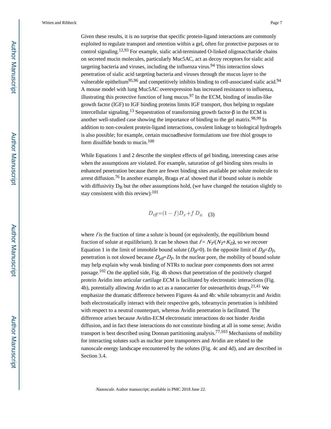Given these results, it is no surprise that specific protein-ligand interactions are commonly exploited to regulate transport and retention within a gel, often for protective purposes or to control signaling.12,93 For example, sialic acid-terminated O-linked oligosaccharide chains on secreted mucin molecules, particularly Muc5AC, act as decoy receptors for sialic acid targeting bacteria and viruses, including the influenza virus.<sup>94</sup> This interaction slows penetration of sialic acid targeting bacteria and viruses through the mucus layer to the vulnerable epithelium<sup>95,96</sup> and competitively inhibits binding to cell-associated sialic acid.<sup>94</sup> A mouse model with lung Muc5AC overexpression has increased resistance to influenza, illustrating this protective function of lung mucus.<sup>97</sup> In the ECM, binding of insulin-like growth factor (IGF) to IGF binding proteins limits IGF transport, thus helping to regulate intercellular signaling.<sup>13</sup> Sequestration of transforming growth factor-β in the ECM is another well-studied case showing the importance of binding to the gel matrix.<sup>98,99</sup> In addition to non-covalent protein-ligand interactions, covalent linkage to biological hydrogels is also possible; for example, certain mucoadhesive formulations use free thiol groups to form disulfide bonds to mucin.<sup>100</sup>

While Equations 1 and 2 describe the simplest effects of gel binding, interesting cases arise when the assumptions are violated. For example, saturation of gel binding sites results in enhanced penetration because there are fewer binding sites available per solute molecule to arrest diffusion.<sup>76</sup> In another example, Braga et al. showed that if bound solute is mobile with diffusivity  $D_B$  but the other assumptions hold, (we have changed the notation slightly to stay consistent with this review):  $101$ 

$$
D_{\text{eff}} = (1 - f)D_F + f D_B \quad (3)
$$

where  $f$  is the fraction of time a solute is bound (or equivalently, the equilibrium bound fraction of solute at equilibrium). It can be shown that  $f = N_T/(N_T+K_D)$ , so we recover Equation 1 in the limit of immobile bound solute  $(D_B=0)$ . In the opposite limit of  $D_B=D_F$ , penetration is not slowed because  $D_{\text{eff}}$  $D_{\text{F}}$ . In the nuclear pore, the mobility of bound solute may help explain why weak binding of NTRs to nuclear pore components does not arrest passage.102 On the applied side, Fig. 4b shows that penetration of the positively charged protein Avidin into articular cartilage ECM is facilitated by electrostatic interactions (Fig. 4b), potentially allowing Avidin to act as a nanocarrier for osteoarthritis drugs.21,41 We emphasize the dramatic difference between Figures 4a and 4b: while tobramycin and Avidin both electrostatically interact with their respective gels, tobramycin penetration is inhibited with respect to a neutral counterpart, whereas Avidin penetration is facilitated. The difference arises because Avidin-ECM electrostatic interactions do not hinder Avidin diffusion, and in fact these interactions do not constitute binding at all in some sense; Avidin transport is best described using Donnan partitioning analysis.<sup>77,103</sup> Mechanisms of mobility for interacting solutes such as nuclear pore transporters and Avidin are related to the nanoscale energy landscape encountered by the solutes (Fig. 4c and 4d), and are described in Section 3.4.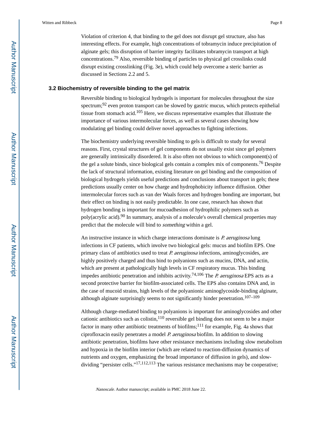Violation of criterion 4, that binding to the gel does not disrupt gel structure, also has interesting effects. For example, high concentrations of tobramycin induce precipitation of alginate gels; this disruption of barrier integrity facilitates tobramycin transport at high

concentrations.79 Also, reversible binding of particles to physical gel crosslinks could disrupt existing crosslinking (Fig. 3e), which could help overcome a steric barrier as discussed in Sections 2.2 and 5.

### **3.2 Biochemistry of reversible binding to the gel matrix**

Reversible binding to biological hydrogels is important for molecules throughout the size spectrum; $92$  even proton transport can be slowed by gastric mucus, which protects epithelial tissue from stomach acid.105 Here, we discuss representative examples that illustrate the importance of various intermolecular forces, as well as several cases showing how modulating gel binding could deliver novel approaches to fighting infections.

The biochemistry underlying reversible binding to gels is difficult to study for several reasons. First, crystal structures of gel components do not usually exist since gel polymers are generally intrinsically disordered. It is also often not obvious to which component(s) of the gel a solute binds, since biological gels contain a complex mix of components.<sup>76</sup> Despite the lack of structural information, existing literature on gel binding and the composition of biological hydrogels yields useful predictions and conclusions about transport in gels; these predictions usually center on how charge and hydrophobicity influence diffusion. Other intermolecular forces such as van der Waals forces and hydrogen bonding are important, but their effect on binding is not easily predictable. In one case, research has shown that hydrogen bonding is important for mucoadhesion of hydrophilic polymers such as poly(acrylic acid).90 In summary, analysis of a molecule's overall chemical properties may predict that the molecule will bind to something within a gel.

An instructive instance in which charge interactions dominate is *P. aeruginosa* lung infections in CF patients, which involve two biological gels: mucus and biofilm EPS. One primary class of antibiotics used to treat *P. aeruginosa* infections, aminoglycosides, are highly positively charged and thus bind to polyanions such as mucins, DNA, and actin, which are present at pathologically high levels in CF respiratory mucus. This binding impedes antibiotic penetration and inhibits activity.<sup>74,106</sup> The P. aeruginosa EPS acts as a second protective barrier for biofilm-associated cells. The EPS also contains DNA and, in the case of mucoid strains, high levels of the polyanionic aminoglycoside-binding alginate, although alginate surprisingly seems to not significantly hinder penetration.<sup>107–109</sup>

Although charge-mediated binding to polyanions is important for aminoglycosides and other cationic antibiotics such as colistin,  $110$  reversible gel binding does not seem to be a major factor in many other antibiotic treatments of biofilms;<sup>111</sup> for example, Fig. 4a shows that ciprofloxacin easily penetrates a model P. aeruginosa biofilm. In addition to slowing antibiotic penetration, biofilms have other resistance mechanisms including slow metabolism and hypoxia in the biofilm interior (which are related to reaction-diffusion dynamics of nutrients and oxygen, emphasizing the broad importance of diffusion in gels), and slowdividing "persister cells."<sup>17,112,113</sup> The various resistance mechanisms may be cooperative;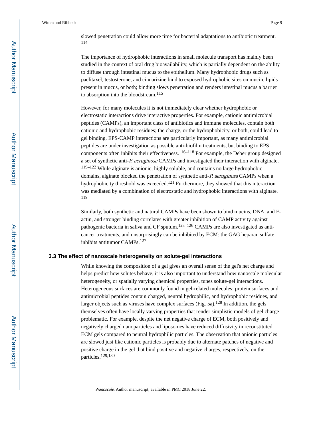slowed penetration could allow more time for bacterial adaptations to antibiotic treatment. 114

The importance of hydrophobic interactions in small molecule transport has mainly been studied in the context of oral drug bioavailability, which is partially dependent on the ability to diffuse through intestinal mucus to the epithelium. Many hydrophobic drugs such as paclitaxel, testosterone, and cinnarizine bind to exposed hydrophobic sites on mucin, lipids present in mucus, or both; binding slows penetration and renders intestinal mucus a barrier to absorption into the bloodstream.<sup>115</sup>

However, for many molecules it is not immediately clear whether hydrophobic or electrostatic interactions drive interactive properties. For example, cationic antimicrobial peptides (CAMPs), an important class of antibiotics and immune molecules, contain both cationic and hydrophobic residues; the charge, or the hydrophobicity, or both, could lead to gel binding. EPS-CAMP interactions are particularly important, as many antimicrobial peptides are under investigation as possible anti-biofilm treatments, but binding to EPS components often inhibits their effectiveness.  $116-118$  For example, the Deber group designed a set of synthetic anti-P. aeruginosa CAMPs and investigated their interaction with alginate. 119–122 While alginate is anionic, highly soluble, and contains no large hydrophobic domains, alginate blocked the penetration of synthetic anti-P. aeruginosa CAMPs when a hydrophobicity threshold was exceeded.<sup>121</sup> Furthermore, they showed that this interaction was mediated by a combination of electrostatic and hydrophobic interactions with alginate. 119

Similarly, both synthetic and natural CAMPs have been shown to bind mucins, DNA, and Factin, and stronger binding correlates with greater inhibition of CAMP activity against pathogenic bacteria in saliva and CF sputum.<sup>123–126</sup> CAMPs are also investigated as anticancer treatments, and unsurprisingly can be inhibited by ECM: the GAG heparan sulfate inhibits antitumor CAMPs.<sup>127</sup>

#### **3.3 The effect of nanoscale heterogeneity on solute-gel interactions**

While knowing the composition of a gel gives an overall sense of the gel's net charge and helps predict how solutes behave, it is also important to understand how nanoscale molecular heterogeneity, or spatially varying chemical properties, tunes solute-gel interactions. Heterogeneous surfaces are commonly found in gel-related molecules: protein surfaces and antimicrobial peptides contain charged, neutral hydrophilic, and hydrophobic residues, and larger objects such as viruses have complex surfaces (Fig.  $5a$ ).<sup>128</sup> In addition, the gels themselves often have locally varying properties that render simplistic models of gel charge problematic. For example, despite the net negative charge of ECM, both positively and negatively charged nanoparticles and liposomes have reduced diffusivity in reconstituted ECM gels compared to neutral hydrophilic particles. The observation that anionic particles are slowed just like cationic particles is probably due to alternate patches of negative and positive charge in the gel that bind positive and negative charges, respectively, on the particles.129,130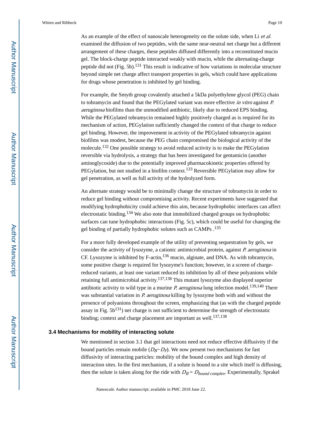As an example of the effect of nanoscale heterogeneity on the solute side, when Li et al. examined the diffusion of two peptides, with the same near-neutral net charge but a different arrangement of these charges, these peptides diffused differently into a reconstituted mucin gel. The block-charge peptide interacted weakly with mucin, while the alternating-charge peptide did not  $(Fig. 5b)$ .<sup>131</sup> This result is indicative of how variations in molecular structure beyond simple net charge affect transport properties in gels, which could have applications for drugs whose penetration is inhibited by gel binding.

For example, the Smyth group covalently attached a 5kDa polyethylene glycol (PEG) chain to tobramycin and found that the PEGylated variant was more effective in vitro against P. aeruginosa biofilms than the unmodified antibiotic, likely due to reduced EPS binding. While the PEGylated tobramycin remained highly positively charged as is required for its mechanism of action, PEGylation sufficiently changed the context of that charge to reduce gel binding. However, the improvement in activity of the PEGylated tobramycin against biofilms was modest, because the PEG chain compromised the biological activity of the molecule.<sup>132</sup> One possible strategy to avoid reduced activity is to make the PEGylation reversible via hydrolysis, a strategy that has been investigated for gentamicin (another aminoglycoside) due to the potentially improved pharmacokinetic properties offered by PEGylation, but not studied in a biofilm context.133 Reversible PEGylation may allow for gel penetration, as well as full activity of the hydrolyzed form.

An alternate strategy would be to minimally change the structure of tobramycin in order to reduce gel binding without compromising activity. Recent experiments have suggested that modifying hydrophobicity could achieve this aim, because hydrophobic interfaces can affect electrostatic binding.134 We also note that immobilized charged groups on hydrophobic surfaces can tune hydrophobic interactions (Fig. 5c), which could be useful for changing the gel binding of partially hydrophobic solutes such as CAMPs .<sup>135</sup>

For a more fully developed example of the utility of preventing sequestration by gels, we consider the activity of lysozyme, a cationic antimicrobial protein, against P. aeruginosa in CF. Lysozyme is inhibited by F-actin,<sup>136</sup> mucin, alginate, and DNA. As with tobramycin, some positive charge is required for lysozyme's function; however, in a screen of chargereduced variants, at least one variant reduced its inhibition by all of these polyanions while retaining full antimicrobial activity.137,138 This mutant lysozyme also displayed superior antibiotic activity to wild type in a murine *P. aeruginosa* lung infection model.<sup>139,140</sup> There was substantial variation in P. aeruginosa killing by lysozyme both with and without the presence of polyanions throughout the screen, emphasizing that (as with the charged peptide assay in Fig.  $5b^{131}$ ) net charge is not sufficient to determine the strength of electrostatic binding; context and charge placement are important as well.<sup>137,138</sup>

### **3.4 Mechanisms for mobility of interacting solute**

We mentioned in section 3.1 that gel interactions need not reduce effective diffusivity if the bound particles remain mobile ( $D_B \sim D_F$ ). We now present two mechanisms for fast diffusivity of interacting particles: mobility of the bound complex and high density of interaction sites. In the first mechanism, if a solute is bound to a site which itself is diffusing, then the solute is taken along for the ride with  $D_B = D_{bound\ complex}$ . Experimentally, Sprakel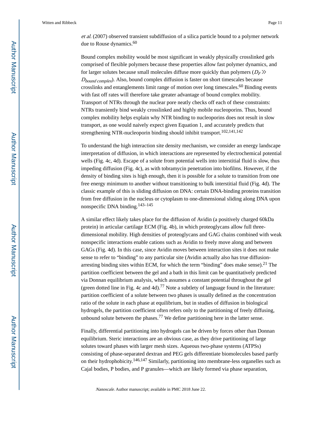et al. (2007) observed transient subdiffusion of a silica particle bound to a polymer network due to Rouse dynamics.<sup>60</sup>

Bound complex mobility would be most significant in weakly physically crosslinked gels comprised of flexible polymers because these properties allow fast polymer dynamics, and for larger solutes because small molecules diffuse more quickly than polymers  $(D_F)$  $D_{bound \, complex}$ ). Also, bound complex diffusion is faster on short timescales because crosslinks and entanglements limit range of motion over long timescales.60 Binding events with fast off rates will therefore take greater advantage of bound complex mobility. Transport of NTRs through the nuclear pore neatly checks off each of these constraints: NTRs transiently bind weakly crosslinked and highly mobile nucleoporins. Thus, bound complex mobility helps explain why NTR binding to nucleoporins does not result in slow transport, as one would naively expect given Equation 1, and accurately predicts that strengthening NTR-nucleoporin binding should inhibit transport.102,141,142

To understand the high interaction site density mechanism, we consider an energy landscape interpretation of diffusion, in which interactions are represented by electrochemical potential wells (Fig. 4c, 4d). Escape of a solute from potential wells into interstitial fluid is slow, thus impeding diffusion (Fig. 4c), as with tobramycin penetration into biofilms. However, if the density of binding sites is high enough, then it is possible for a solute to transition from one free energy minimum to another without transitioning to bulk interstitial fluid (Fig. 4d). The classic example of this is sliding diffusion on DNA: certain DNA-binding proteins transition from free diffusion in the nucleus or cytoplasm to one-dimensional sliding along DNA upon nonspecific DNA binding.143–145

A similar effect likely takes place for the diffusion of Avidin (a positively charged 60kDa protein) in articular cartilage ECM (Fig. 4b), in which proteoglycans allow full threedimensional mobility. High densities of proteoglycans and GAG chains combined with weak nonspecific interactions enable cations such as Avidin to freely move along and between GAGs (Fig. 4d). In this case, since Avidin moves between interaction sites it does not make sense to refer to "binding" to any particular site (Avidin actually also has true diffusionarresting binding sites within ECM, for which the term "binding" does make sense).<sup>21</sup> The partition coefficient between the gel and a bath in this limit can be quantitatively predicted via Donnan equilibrium analysis, which assumes a constant potential throughout the gel (green dotted line in Fig. 4c and 4d).<sup>77</sup> Note a subtlety of language found in the literature: partition coefficient of a solute between two phases is usually defined as the concentration ratio of the solute in each phase at equilibrium, but in studies of diffusion in biological hydrogels, the partition coefficient often refers only to the partitioning of freely diffusing, unbound solute between the phases.<sup>77</sup> We define partitioning here in the latter sense.

Finally, differential partitioning into hydrogels can be driven by forces other than Donnan equilibrium. Steric interactions are an obvious case, as they drive partitioning of large solutes toward phases with larger mesh sizes. Aqueous two-phase systems (ATPSs) consisting of phase-separated dextran and PEG gels differentiate biomolecules based partly on their hydrophobicity.146,147 Similarly, partitioning into membrane-less organelles such as Cajal bodies, P bodies, and P granules—which are likely formed via phase separation,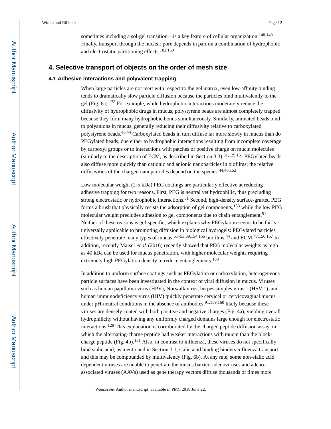sometimes including a sol-gel transition—is a key feature of cellular organization.<sup>148,149</sup> Finally, transport through the nuclear pore depends in part on a combination of hydrophobic and electrostatic partitioning effects.102,150

### **4. Selective transport of objects on the order of mesh size**

#### **4.1 Adhesive interactions and polyvalent trapping**

When large particles are not inert with respect to the gel matrix, even low-affinity binding tends to dramatically slow particle diffusion because the particles bind multivalently to the gel (Fig. 6a).128 For example, while hydrophobic interactions moderately reduce the diffusivity of hydrophobic drugs in mucus, polystyrene beads are almost completely trapped because they form many hydrophobic bonds simultaneously. Similarly, aminated beads bind to polyanions in mucus, generally reducing their diffusivity relative to carboxylated polystyrene beads.43,44 Carboxylated beads in turn diffuse far more slowly in mucus than do PEGylated beads, due either to hydrophobic interactions resulting from incomplete coverage by carboxyl groups or to interactions with patches of positive charge on mucin molecules (similarly to the description of ECM, as described in Section 3.3).<sup>51,129,151</sup> PEGylated beads also diffuse more quickly than cationic and anionic nanoparticles in biofilms; the relative diffusivities of the charged nanoparticles depend on the species.  $44,46,152$ 

Low molecular weight (2-5 kDa) PEG coatings are particularly effective at reducing adhesive trapping for two reasons. First, PEG is neutral yet hydrophilic, thus precluding strong electrostatic or hydrophobic interactions.<sup>51</sup> Second, high-density surface-grafted PEG forms a brush that physically resists the adsorption of gel components,153 while the low PEG molecular weight precludes adhesion to gel components due to chain entanglement.<sup>51</sup> Neither of these reasons is gel-specific, which explains why PEGylation seems to be fairly universally applicable to promoting diffusion in biological hydrogels: PEGylated particles effectively penetrate many types of mucus,<sup>51–53,89,154,155</sup> biofilms,<sup>44</sup> and ECM.<sup>47,156,157</sup> In addition, recently Maisel *et al.* (2016) recently showed that PEG molecular weights as high as 40 kDa can be used for mucus penetration, with higher molecular weights requiring extremely high PEGylation density to reduce entanglements.<sup>158</sup>

In addition to uniform surface coatings such as PEGylation or carboxylation, heterogeneous particle surfaces have been investigated in the context of viral diffusion in mucus. Viruses such as human papilloma virus (HPV), Norwalk virus, herpes simples virus 1 (HSV-1), and human immunodeficiency virus (HIV) quickly penetrate cervical or cervicovaginal mucus under pH-neutral conditions in the absence of antibodies,  $91,159,160$  likely because these viruses are densely coated with both positive and negative charges (Fig. 4a), yielding overall hydrophilicity without having any uniformly charged domains large enough for electrostatic interactions.128 This explanation is corroborated by the charged peptide diffusion assay, in which the alternating-charge peptide had weaker interactions with mucin than the blockcharge peptide (Fig. 4b).<sup>131</sup> Also, in contrast to influenza, these viruses do not specifically bind sialic acid; as mentioned in Section 3.1, sialic acid binding hinders influenza transport and this may be compounded by multivalency (Fig. 6b). At any rate, some non-sialic acid dependent viruses are unable to penetrate the mucus barrier: adenoviruses and adenoassociated viruses (AAVs) used as gene therapy vectors diffuse thousands of times more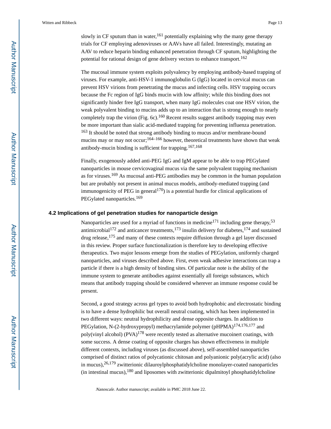slowly in CF sputum than in water,  $161$  potentially explaining why the many gene therapy trials for CF employing adenoviruses or AAVs have all failed. Interestingly, mutating an AAV to reduce heparin binding enhanced penetration through CF sputum, highlighting the potential for rational design of gene delivery vectors to enhance transport.<sup>162</sup>

The mucosal immune system exploits polyvalency by employing antibody-based trapping of viruses. For example, anti-HSV-1 immunoglobulin G (IgG) located in cervical mucus can prevent HSV virions from penetrating the mucus and infecting cells. HSV trapping occurs because the Fc region of IgG binds mucin with low affinity; while this binding does not significantly hinder free IgG transport, when many IgG molecules coat one HSV virion, the weak polyvalent binding to mucins adds up to an interaction that is strong enough to nearly completely trap the virion (Fig. 6c).<sup>160</sup> Recent results suggest antibody trapping may even be more important than sialic acid-mediated trapping for preventing influenza penetration. <sup>163</sup> It should be noted that strong antibody binding to mucus and/or membrane-bound mucins may or may not occur;<sup>164–166</sup> however, theoretical treatments have shown that weak antibody-mucin binding is sufficient for trapping.167,168

Finally, exogenously added anti-PEG IgG and IgM appear to be able to trap PEGylated nanoparticles in mouse cervicovaginal mucus via the same polyvalent trapping mechanism as for viruses.169 As mucosal anti-PEG antibodies may be common in the human population but are probably not present in animal mucus models, antibody-mediated trapping (and immunogenicity of PEG in general<sup>170</sup>) is a potential hurdle for clinical applications of PEGylated nanoparticles.<sup>169</sup>

### **4.2 Implications of gel penetration studies for nanoparticle design**

Nanoparticles are used for a myriad of functions in medicine<sup>171</sup> including gene therapy,<sup>53</sup> antimicrobial<sup>172</sup> and anticancer treatments,<sup>173</sup> insulin delivery for diabetes,<sup>174</sup> and sustained drug release,175 and many of these contexts require diffusion through a gel layer discussed in this review. Proper surface functionalization is therefore key to developing effective therapeutics. Two major lessons emerge from the studies of PEGylation, uniformly charged nanoparticles, and viruses described above. First, even weak adhesive interactions can trap a particle if there is a high density of binding sites. Of particular note is the ability of the immune system to generate antibodies against essentially all foreign substances, which means that antibody trapping should be considered wherever an immune response could be present.

Second, a good strategy across gel types to avoid both hydrophobic and electrostatic binding is to have a dense hydrophilic but overall neutral coating, which has been implemented in two different ways: neutral hydrophilicity and dense opposite charges. In addition to PEGylation, N-(2-hydroxypropyl) methacrylamide polymer (pHPMA)<sup>174,176,177</sup> and poly(vinyl alcohol)  $(PVA)^{178}$  were recently tested as alternative mucoinert coatings, with some success. A dense coating of opposite charges has shown effectiveness in multiple different contexts, including viruses (as discussed above), self-assembled nanoparticles comprised of distinct ratios of polycationic chitosan and polyanionic poly(acrylic acid) (also in mucus),26,179 zwitterionic dilauroylphosphatidylcholine monolayer-coated nanoparticles (in intestinal mucus), $180$  and liposomes with zwitterionic dipalmitoyl phosphatidylcholine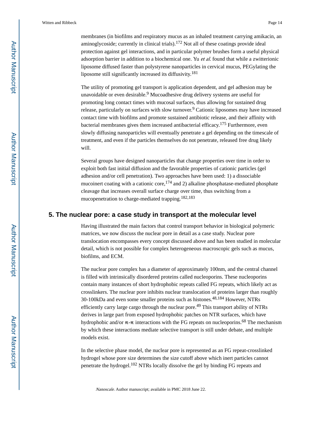membranes (in biofilms and respiratory mucus as an inhaled treatment carrying amikacin, an aminoglycoside; currently in clinical trials).<sup>172</sup> Not all of these coatings provide ideal protection against gel interactions, and in particular polymer brushes form a useful physical adsorption barrier in addition to a biochemical one. Yu et al. found that while a zwitterionic liposome diffused faster than polystyrene nanoparticles in cervical mucus, PEGylating the liposome still significantly increased its diffusivity.<sup>181</sup>

The utility of promoting gel transport is application dependent, and gel adhesion may be unavoidable or even desirable.<sup>9</sup> Mucoadhesive drug delivery systems are useful for promoting long contact times with mucosal surfaces, thus allowing for sustained drug release, particularly on surfaces with slow turnover.<sup>9</sup> Cationic liposomes may have increased contact time with biofilms and promote sustained antibiotic release, and their affinity with bacterial membranes gives them increased antibacterial efficacy.175 Furthermore, even slowly diffusing nanoparticles will eventually penetrate a gel depending on the timescale of treatment, and even if the particles themselves do not penetrate, released free drug likely will.

Several groups have designed nanoparticles that change properties over time in order to exploit both fast initial diffusion and the favorable properties of cationic particles (gel adhesion and/or cell penetration). Two approaches have been used: 1) a dissociable mucoinert coating with a cationic core,  $^{174}$  and 2) alkaline phosphatase-mediated phosphate cleavage that increases overall surface charge over time, thus switching from a mucopenetration to charge-mediated trapping.<sup>182,183</sup>

### **5. The nuclear pore: a case study in transport at the molecular level**

Having illustrated the main factors that control transport behavior in biological polymeric matrices, we now discuss the nuclear pore in detail as a case study. Nuclear pore translocation encompasses every concept discussed above and has been studied in molecular detail, which is not possible for complex heterogeneous macroscopic gels such as mucus, biofilms, and ECM.

The nuclear pore complex has a diameter of approximately 100nm, and the central channel is filled with intrinsically disordered proteins called nucleoporins. These nucleoporins contain many instances of short hydrophobic repeats called FG repeats, which likely act as crosslinkers. The nuclear pore inhibits nuclear translocation of proteins larger than roughly 30-100kDa and even some smaller proteins such as histones.48,184 However, NTRs efficiently carry large cargo through the nuclear pore.<sup>49</sup> This transport ability of NTRs derives in large part from exposed hydrophobic patches on NTR surfaces, which have hydrophobic and/or  $\pi$ - $\pi$  interactions with the FG repeats on nucleoporins.<sup>68</sup> The mechanism by which these interactions mediate selective transport is still under debate, and multiple models exist.

In the selective phase model, the nuclear pore is represented as an FG repeat-crosslinked hydrogel whose pore size determines the size cutoff above which inert particles cannot penetrate the hydrogel.102 NTRs locally dissolve the gel by binding FG repeats and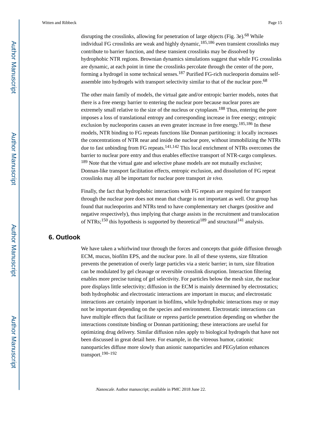disrupting the crosslinks, allowing for penetration of large objects (Fig. 3e).<sup>68</sup> While individual FG crosslinks are weak and highly dynamic,  $185,186$  even transient crosslinks may contribute to barrier function, and these transient crosslinks may be dissolved by hydrophobic NTR regions. Brownian dynamics simulations suggest that while FG crosslinks are dynamic, at each point in time the crosslinks percolate through the center of the pore, forming a hydrogel in some technical senses.187 Purified FG-rich nucleoporin domains selfassemble into hydrogels with transport selectivity similar to that of the nuclear pore.<sup>68</sup>

The other main family of models, the virtual gate and/or entropic barrier models, notes that there is a free energy barrier to entering the nuclear pore because nuclear pores are extremely small relative to the size of the nucleus or cytoplasm.<sup>188</sup> Thus, entering the pore imposes a loss of translational entropy and corresponding increase in free energy; entropic exclusion by nucleoporins causes an even greater increase in free energy.<sup>185,186</sup> In these models, NTR binding to FG repeats functions like Donnan partitioning: it locally increases the concentrations of NTR near and inside the nuclear pore, without immobilizing the NTRs due to fast unbinding from FG repeats. $141,142$  This local enrichment of NTRs overcomes the barrier to nuclear pore entry and thus enables effective transport of NTR-cargo complexes. <sup>189</sup> Note that the virtual gate and selective phase models are not mutually exclusive; Donnan-like transport facilitation effects, entropic exclusion, and dissolution of FG repeat crosslinks may all be important for nuclear pore transport in vivo.

Finally, the fact that hydrophobic interactions with FG repeats are required for transport through the nuclear pore does not mean that charge is not important as well. Our group has found that nucleoporins and NTRs tend to have complementary net charges (positive and negative respectively), thus implying that charge assists in the recruitment and translocation of NTRs;<sup>150</sup> this hypothesis is supported by theoretical<sup>189</sup> and structural<sup>141</sup> analysis.

### **6. Outlook**

We have taken a whirlwind tour through the forces and concepts that guide diffusion through ECM, mucus, biofilm EPS, and the nuclear pore. In all of these systems, size filtration prevents the penetration of overly large particles via a steric barrier; in turn, size filtration can be modulated by gel cleavage or reversible crosslink disruption. Interaction filtering enables more precise tuning of gel selectivity. For particles below the mesh size, the nuclear pore displays little selectivity; diffusion in the ECM is mainly determined by electrostatics; both hydrophobic and electrostatic interactions are important in mucus; and electrostatic interactions are certainly important in biofilms, while hydrophobic interactions may or may not be important depending on the species and environment. Electrostatic interactions can have multiple effects that facilitate or repress particle penetration depending on whether the interactions constitute binding or Donnan partitioning; these interactions are useful for optimizing drug delivery. Similar diffusion rules apply to biological hydrogels that have not been discussed in great detail here. For example, in the vitreous humor, cationic nanoparticles diffuse more slowly than anionic nanoparticles and PEGylation enhances transport.190–192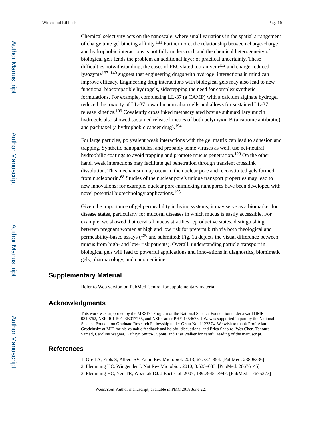Chemical selectivity acts on the nanoscale, where small variations in the spatial arrangement of charge tune gel binding affinity.<sup>131</sup> Furthermore, the relationship between charge-charge and hydrophobic interactions is not fully understood, and the chemical heterogeneity of biological gels lends the problem an additional layer of practical uncertainty. These difficulties notwithstanding, the cases of PEGylated tobramycin<sup>132</sup> and charge-reduced lysozyme137–140 suggest that engineering drugs with hydrogel interactions in mind can improve efficacy. Engineering drug interactions with biological gels may also lead to new functional biocompatible hydrogels, sidestepping the need for complex synthetic formulations. For example, complexing LL-37 (a CAMP) with a calcium alginate hydrogel reduced the toxicity of LL-37 toward mammalian cells and allows for sustained LL-37 release kinetics.193 Covalently crosslinked methacrylated bovine submaxillary mucin hydrogels also showed sustained release kinetics of both polymyxin B (a cationic antibiotic) and paclitaxel (a hydrophobic cancer drug).<sup>194</sup>

For large particles, polyvalent weak interactions with the gel matrix can lead to adhesion and trapping. Synthetic nanoparticles, and probably some viruses as well, use net-neutral hydrophilic coatings to avoid trapping and promote mucus penetration.<sup>128</sup> On the other hand, weak interactions may facilitate gel penetration through transient crosslink dissolution. This mechanism may occur in the nuclear pore and reconstituted gels formed from nucleoporin.68 Studies of the nuclear pore's unique transport properties may lead to new innovations; for example, nuclear pore-mimicking nanopores have been developed with novel potential biotechnology applications.<sup>195</sup>

Given the importance of gel permeability in living systems, it may serve as a biomarker for disease states, particularly for mucosal diseases in which mucus is easily accessible. For example, we showed that cervical mucus stratifies reproductive states, distinguishing between pregnant women at high and low risk for preterm birth via both rheological and permeability-based assays  $(196 \text{ and submitted}; Fig. 1a$  depicts the visual difference between mucus from high- and low- risk patients). Overall, understanding particle transport in biological gels will lead to powerful applications and innovations in diagnostics, biomimetic gels, pharmacology, and nanomedicine.

### **Supplementary Material**

Refer to Web version on PubMed Central for supplementary material.

### **Acknowledgments**

This work was supported by the MRSEC Program of the National Science Foundation under award DMR – 0819762, NSF R01 R01-EB017755, and NSF Career PHY-1454673. J.W. was supported in part by the National Science Foundation Graduate Research Fellowship under Grant No. 1122374. We wish to thank Prof. Alan Grodzinsky at MIT for his valuable feedback and helpful discussions, and Erica Shapiro, Wes Chen, Tahoura Samad, Caroline Wagner, Kathryn Smith-Dupont, and Lisa Walker for careful reading of the manuscript.

### **References**

1. Orell A, Fröls S, Albers SV. Annu Rev Microbiol. 2013; 67:337–354. [PubMed: 23808336]

- 2. Flemming HC, Wingender J. Nat Rev Microbiol. 2010; 8:623–633. [PubMed: 20676145]
- 3. Flemming HC, Neu TR, Wozniak DJ. J Bacteriol. 2007; 189:7945–7947. [PubMed: 17675377]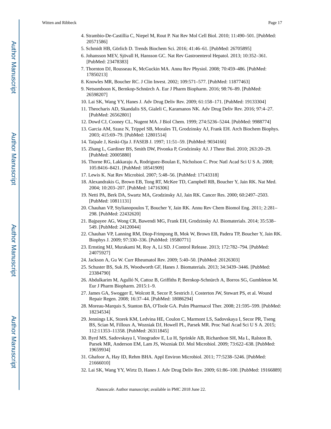- 4. Strambio-De-Castillia C, Niepel M, Rout P. Nat Rev Mol Cell Biol. 2010; 11:490–501. [PubMed: 20571586]
- 5. Schmidt HB, Görlich D. Trends Biochem Sci. 2016; 41:46–61. [PubMed: 26705895]
- 6. Johansson MEV, Sjövall H, Hansson GC. Nat Rev Gastroenterol Hepatol. 2013; 10:352–361. [PubMed: 23478383]
- 7. Thornton DJ, Rousseau K, McGuckin MA. Annu Rev Physiol. 2008; 70:459–486. [PubMed: 17850213]
- 8. Knowles MR, Boucher RC. J Clin Invest. 2002; 109:571–577. [PubMed: 11877463]
- 9. Netsomboon K, Bernkop-Schnürch A. Eur J Pharm Biopharm. 2016; 98:76–89. [PubMed: 26598207]
- 10. Lai SK, Wang YY, Hanes J. Adv Drug Deliv Rev. 2009; 61:158–171. [PubMed: 19133304]
- 11. Theocharis AD, Skandalis SS, Gialeli C, Karamanos NK. Adv Drug Deliv Rev. 2016; 97:4–27. [PubMed: 26562801]
- 12. Dowd CJ, Cooney CL, Nugent MA. J Biol Chem. 1999; 274:5236–5244. [PubMed: 9988774]
- 13. Garcia AM, Szasz N, Trippel SB, Morales TI, Grodzinsky AJ, Frank EH. Arch Biochem Biophys. 2003; 415:69–79. [PubMed: 12801514]
- 14. Taipale J, Keski-Oja J. FASEB J. 1997; 11:51–59. [PubMed: 9034166]
- 15. Zhang L, Gardiner BS, Smith DW, Pivonka P, Grodzinsky AJ. J Theor Biol. 2010; 263:20–29. [PubMed: 20005880]
- 16. Thorne RG, Lakkaraju A, Rodriguez-Boulan E, Nicholson C. Proc Natl Acad Sci U S A. 2008; 105:8416–8421. [PubMed: 18541909]
- 17. Lewis K. Nat Rev Microbiol. 2007; 5:48–56. [PubMed: 17143318]
- 18. Alexandrakis G, Brown EB, Tong RT, McKee TD, Campbell RB, Boucher Y, Jain RK. Nat Med. 2004; 10:203–207. [PubMed: 14716306]
- 19. Netti PA, Berk DA, Swartz MA, Grodzinsky AJ, Jain RK. Cancer Res. 2000; 60:2497–2503. [PubMed: 10811131]
- 20. Chauhan VP, Stylianopoulos T, Boucher Y, Jain RK. Annu Rev Chem Biomol Eng. 2011; 2:281– 298. [PubMed: 22432620]
- 21. Bajpayee AG, Wong CR, Bawendi MG, Frank EH, Grodzinsky AJ. Biomaterials. 2014; 35:538– 549. [PubMed: 24120044]
- 22. Chauhan VP, Lanning RM, Diop-Frimpong B, Mok W, Brown EB, Padera TP, Boucher Y, Jain RK. Biophys J. 2009; 97:330–336. [PubMed: 19580771]
- 23. Ernsting MJ, Murakami M, Roy A, Li SD. J Control Release. 2013; 172:782–794. [PubMed: 24075927]
- 24. Jackson A, Gu W. Curr Rheumatol Rev. 2009; 5:40–50. [PubMed: 20126303]
- 25. Schuster BS, Suk JS, Woodworth GF, Hanes J. Biomaterials. 2013; 34:3439–3446. [PubMed: 23384790]
- 26. Abdulkarim M, Agulló N, Cattoz B, Griffiths P, Bernkop-Schnürch A, Borros SG, Gumbleton M. Eur J Pharm Biopharm. 2015:1–9.
- 27. James GA, Swogger E, Wolcott R, Secor P, Sestrich J, Costerton JW, Stewart PS, et al. Wound Repair Regen. 2008; 16:37–44. [PubMed: 18086294]
- 28. Moreau-Marquis S, Stanton BA, O'Toole GA. Pulm Pharmacol Ther. 2008; 21:595–599. [PubMed: 18234534]
- 29. Jennings LK, Storek KM, Ledvina HE, Coulon C, Marmont LS, Sadovskaya I, Secor PR, Tseng BS, Scian M, Filloux A, Wozniak DJ, Howell PL, Parsek MR. Proc Natl Acad Sci U S A. 2015; 112:11353–11358. [PubMed: 26311845]
- 30. Byrd MS, Sadovskaya I, Vinogradov E, Lu H, Sprinkle AB, Richardson SH, Ma L, Ralston B, Parsek MR, Anderson EM, Lam JS, Wozniak DJ. Mol Microbiol. 2009; 73:622–638. [PubMed: 19659934]
- 31. Ghafoor A, Hay ID, Rehm BHA. Appl Environ Microbiol. 2011; 77:5238–5246. [PubMed: 21666010]
- 32. Lai SK, Wang YY, Wirtz D, Hanes J. Adv Drug Deliv Rev. 2009; 61:86–100. [PubMed: 19166889]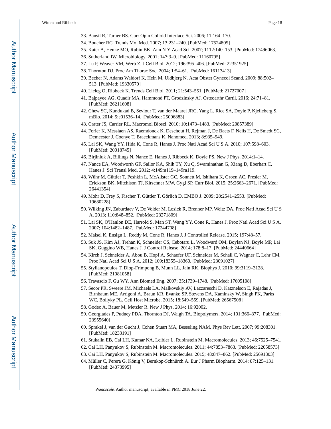- 33. Bansil R, Turner BS. Curr Opin Colloid Interface Sci. 2006; 11:164–170.
- 34. Boucher RC. Trends Mol Med. 2007; 13:231–240. [PubMed: 17524805]
- 35. Kater A, Henke MO, Rubin BK. Ann N Y Acad Sci. 2007; 1112:140–153. [PubMed: 17496063]
- 36. Sutherland IW. Microbiology. 2001; 147:3–9. [PubMed: 11160795]
- 37. Lu P, Weaver VM, Werb Z. J Cell Biol. 2012; 196:395–406. [PubMed: 22351925]
- 38. Thornton DJ. Proc Am Thorac Soc. 2004; 1:54–61. [PubMed: 16113413]
- 39. Becher N, Adams Waldorf K, Hein M, Uldbjerg N. Acta Obstet Gynecol Scand. 2009; 88:502– 513. [PubMed: 19330570]
- 40. Lieleg O, Ribbeck K. Trends Cell Biol. 2011; 21:543–551. [PubMed: 21727007]
- 41. Bajpayee AG, Quadir MA, Hammond PT, Grodzinsky AJ. Osteoarthr Cartil. 2016; 24:71–81. [PubMed: 26211608]
- 42. Chew SC, Kundukad B, Seviour T, van der Maarel JRC, Yang L, Rice SA, Doyle P, Kjelleberg S. mBio. 2014; 5:e01536–14. [PubMed: 25096883]
- 43. Crater JS, Carrier RL. Macromol Biosci. 2010; 10:1473–1483. [PubMed: 20857389]
- 44. Forier K, Messiaen AS, Raemdonck K, Deschout H, Rejman J, De Baets F, Nelis H, De Smedt SC, Demeester J, Coenye T, Braeckmans K. Nanomed. 2013; 8:935–949.
- 45. Lai SK, Wang YY, Hida K, Cone R, Hanes J. Proc Natl Acad Sci U S A. 2010; 107:598–603. [PubMed: 20018745]
- 46. Birjiniuk A, Billings N, Nance E, Hanes J, Ribbeck K, Doyle PS. New J Phys. 2014:1–14.
- 47. Nance EA, Woodworth GF, Sailor KA, Shih TY, Xu Q, Swaminathan G, Xiang D, Eberhart C, Hanes J. Sci Transl Med. 2012; 4:149ra119–149ra119.
- 48. Wühr M, Güttler T, Peshkin L, McAlister GC, Sonnett M, Ishihara K, Groen AC, Presler M, Erickson BK, Mitchison TJ, Kirschner MW, Gygi SP. Curr Biol. 2015; 25:2663–2671. [PubMed: 26441354]
- 49. Mohr D, Frey S, Fischer T, Güttler T, Görlich D. EMBO J. 2009; 28:2541–2553. [PubMed: 19680228]
- 50. Wilking JN, Zaburdaev V, De Volder M, Losick R, Brenner MP, Weitz DA. Proc Natl Acad Sci U S A. 2013; 110:848–852. [PubMed: 23271809]
- 51. Lai SK, O'Hanlon DE, Harrold S, Man ST, Wang YY, Cone R, Hanes J. Proc Natl Acad Sci U S A. 2007; 104:1482–1487. [PubMed: 17244708]
- 52. Maisel K, Ensign L, Reddy M, Cone R, Hanes J. J Controlled Release. 2015; 197:48–57.
- 53. Suk JS, Kim AJ, Trehan K, Schneider CS, Cebotaru L, Woodward OM, Boylan NJ, Boyle MP, Lai SK, Guggino WB, Hanes J. J Control Release. 2014; 178:8–17. [PubMed: 24440664]
- 54. Kirch J, Schneider A, Abou B, Hopf A, Schaefer UF, Schneider M, Schall C, Wagner C, Lehr CM. Proc Natl Acad Sci U S A. 2012; 109:18355–18360. [PubMed: 23091027]
- 55. Stylianopoulos T, Diop-Frimpong B, Munn LL, Jain RK. Biophys J. 2010; 99:3119–3128. [PubMed: 21081058]
- 56. Travascio F, Gu WY. Ann Biomed Eng. 2007; 35:1739–1748. [PubMed: 17605108]
- 57. Secor PR, Sweere JM, Michaels LA, Malkovskiy AV, Lazzareschi D, Katznelson E, Rajadas J, Birnbaum ME, Arrigoni A, Braun KR, Evanko SP, Stevens DA, Kaminsky W, Singh PK, Parks WC, Bollyky PL. Cell Host Microbe. 2015; 18:549–559. [PubMed: 26567508]
- 58. Godec A, Bauer M, Metzler R. New J Phys. 2014; 16:92002.
- 59. Georgiades P, Pudney PDA, Thornton DJ, Waigh TA. Biopolymers. 2014; 101:366–377. [PubMed: 23955640]
- 60. Sprakel J, van der Gucht J, Cohen Stuart MA, Besseling NAM. Phys Rev Lett. 2007; 99:208301. [PubMed: 18233191]
- 61. Stukalin EB, Cai LH, Kumar NA, Leibler L, Rubinstein M. Macromolecules. 2013; 46:7525–7541.
- 62. Cai LH, Panyukov S, Rubinstein M. Macromolecules. 2011; 44:7853–7863. [PubMed: 22058573]
- 63. Cai LH, Panyukov S, Rubinstein M. Macromolecules. 2015; 48:847–862. [PubMed: 25691803]
- 64. Müller C, Perera G, König V, Bernkop-Schnürch A. Eur J Pharm Biopharm. 2014; 87:125–131. [PubMed: 24373995]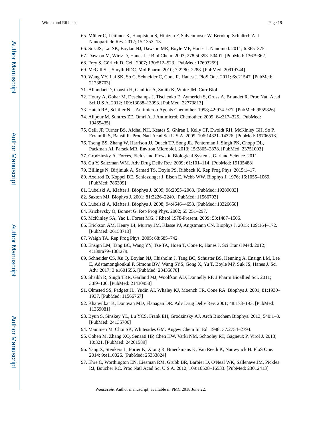- 65. Müller C, Leithner K, Hauptstein S, Hintzen F, Salvenmoser W, Bernkop-Schnürch A. J Nanoparticle Res. 2012; 15:1353–13.
- 66. Suk JS, Lai SK, Boylan NJ, Dawson MR, Boyle MP, Hanes J. Nanomed. 2011; 6:365–375.
- 67. Dawson M, Wirtz D, Hanes J. J Biol Chem. 2003; 278:50393–50401. [PubMed: 13679362]
- 68. Frey S, Görlich D. Cell. 2007; 130:512–523. [PubMed: 17693259]
- 69. McGill SL, Smyth HDC. Mol Pharm. 2010; 7:2280–2288. [PubMed: 20919744]
- 70. Wang YY, Lai SK, So C, Schneider C, Cone R, Hanes J. PloS One. 2011; 6:e21547. [PubMed: 21738703]
- 71. Alfandari D, Cousin H, Gaultier A, Smith K, White JM. Curr Biol.
- 72. Houry A, Gohar M, Deschamps J, Tischenko E, Aymerich S, Gruss A, Briandet R. Proc Natl Acad Sci U S A. 2012; 109:13088–13093. [PubMed: 22773813]
- 73. Hatch RA, Schiller NL. Antimicrob Agents Chemother. 1998; 42:974–977. [PubMed: 9559826]
- 74. Alipour M, Suntres ZE, Omri A. J Antimicrob Chemother. 2009; 64:317–325. [PubMed: 19465435]
- 75. Celli JP, Turner BS, Afdhal NH, Keates S, Ghiran I, Kelly CP, Ewoldt RH, McKinley GH, So P, Erramilli S, Bansil R. Proc Natl Acad Sci U S A. 2009; 106:14321–14326. [PubMed: 19706518]
- 76. Tseng BS, Zhang W, Harrison JJ, Quach TP, Song JL, Penterman J, Singh PK, Chopp DL, Packman AI, Parsek MR. Environ Microbiol. 2013; 15:2865–2878. [PubMed: 23751003]
- 77. Grodzinsky A. Forces, Fields and Flows in Biological Systems, Garland Science. 2011
- 78. Cu Y, Saltzman WM. Adv Drug Deliv Rev. 2009; 61:101–114. [PubMed: 19135488]
- 79. Billings N, Birjiniuk A, Samad TS, Doyle PS, Ribbeck K. Rep Prog Phys. 2015:1–17.
- 80. Axelrod D, Koppel DE, Schlessinger J, Elson E, Webb WW. Biophys J. 1976; 16:1055–1069. [PubMed: 786399]
- 81. Lubelski A, Klafter J. Biophys J. 2009; 96:2055–2063. [PubMed: 19289033]
- 82. Saxton MJ. Biophys J. 2001; 81:2226–2240. [PubMed: 11566793]
- 83. Lubelski A, Klafter J. Biophys J. 2008; 94:4646–4653. [PubMed: 18326658]
- 84. Krichevsky O, Bonnet G. Rep Prog Phys. 2002; 65:251–297.
- 85. McKinley SA, Yao L, Forest MG. J Rheol 1978-Present. 2009; 53:1487–1506.
- 86. Erickson AM, Henry BI, Murray JM, Klasse PJ, Angstmann CN. Biophys J. 2015; 109:164–172. [PubMed: 26153713]
- 87. Waigh TA. Rep Prog Phys. 2005; 68:685–742.
- 88. Ensign LM, Tang BC, Wang YY, Tse TA, Hoen T, Cone R, Hanes J. Sci Transl Med. 2012; 4:138ra79–138ra79.
- 89. Schneider CS, Xu Q, Boylan NJ, Chisholm J, Tang BC, Schuster BS, Henning A, Ensign LM, Lee E, Adstamongkonkul P, Simons BW, Wang SYS, Gong X, Yu T, Boyle MP, Suk JS, Hanes J. Sci Adv. 2017; 3:e1601556. [PubMed: 28435870]
- 90. Shaikh R, Singh TRR, Garland MJ, Woolfson AD, Donnelly RF. J Pharm Bioallied Sci. 2011; 3:89–100. [PubMed: 21430958]
- 91. Olmsted SS, Padgett JL, Yudin AI, Whaley KJ, Moench TR, Cone RA. Biophys J. 2001; 81:1930– 1937. [PubMed: 11566767]
- 92. Khanvilkar K, Donovan MD, Flanagan DR. Adv Drug Deliv Rev. 2001; 48:173–193. [PubMed: 11369081]
- 93. Byun S, Sinskey YL, Lu YCS, Frank EH, Grodzinsky AJ. Arch Biochem Biophys. 2013; 540:1–8. [PubMed: 24135706]
- 94. Mammen M, Choi SK, Whitesides GM. Angew Chem Int Ed. 1998; 37:2754–2794.
- 95. Cohen M, Zhang XQ, Senaati HP, Chen HW, Varki NM, Schooley RT, Gagneux P. Virol J. 2013; 10:321. [PubMed: 24261589]
- 96. Yang X, Steukers L, Forier K, Xiong R, Braeckmans K, Van Reeth K, Nauwynck H. PloS One. 2014; 9:e110026. [PubMed: 25333824]
- 97. Ehre C, Worthington EN, Liesman RM, Grubb BR, Barbier D, O'Neal WK, Sallenave JM, Pickles RJ, Boucher RC. Proc Natl Acad Sci U S A. 2012; 109:16528–16533. [PubMed: 23012413]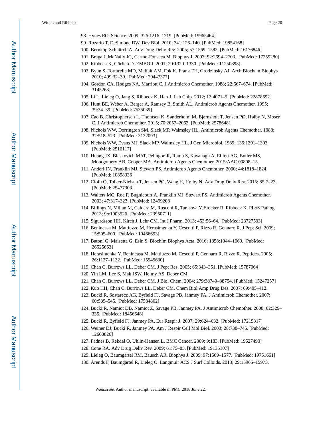- 98. Hynes RO. Science. 2009; 326:1216–1219. [PubMed: 19965464]
- 99. Rozario T, DeSimone DW. Dev Biol. 2010; 341:126–140. [PubMed: 19854168]
- 100. Bernkop-Schnürch A. Adv Drug Deliv Rev. 2005; 57:1569–1582. [PubMed: 16176846]
- 101. Braga J, McNally JG, Carmo-Fonseca M. Biophys J. 2007; 92:2694–2703. [PubMed: 17259280]
- 102. Ribbeck K, Görlich D. EMBO J. 2001; 20:1320–1330. [PubMed: 11250898]
- 103. Byun S, Tortorella MD, Malfait AM, Fok K, Frank EH, Grodzinsky AJ. Arch Biochem Biophys. 2010; 499:32–39. [PubMed: 20447377]
- 104. Gordon CA, Hodges NA, Marriott C. J Antimicrob Chemother. 1988; 22:667–674. [PubMed: 3145268]
- 105. Li L, Lieleg O, Jang S, Ribbeck K, Han J. Lab Chip. 2012; 12:4071–9. [PubMed: 22878692]
- 106. Hunt BE, Weber A, Berger A, Ramsey B, Smith AL. Antimicrob Agents Chemother. 1995; 39:34–39. [PubMed: 7535039]
- 107. Cao B, Christophersen L, Thomsen K, Sønderholm M, Bjarnsholt T, Jensen PØ, Høiby N, Moser C. J Antimicrob Chemother. 2015; 70:2057–2063. [PubMed: 25786481]
- 108. Nichols WW, Dorrington SM, Slack MP, Walmsley HL. Antimicrob Agents Chemother. 1988; 32:518–523. [PubMed: 3132093]
- 109. Nichols WW, Evans MJ, Slack MP, Walmsley HL. J Gen Microbiol. 1989; 135:1291–1303. [PubMed: 2516117]
- 110. Huang JX, Blaskovich MAT, Pelingon R, Ramu S, Kavanagh A, Elliott AG, Butler MS, Montgomery AB, Cooper MA. Antimicrob Agents Chemother. 2015:AAC.00808–15.
- 111. Anderl JN, Franklin MJ, Stewart PS. Antimicrob Agents Chemother. 2000; 44:1818–1824. [PubMed: 10858336]
- 112. Ciofu O, Tolker-Nielsen T, Jensen PØ, Wang H, Høiby N. Adv Drug Deliv Rev. 2015; 85:7–23. [PubMed: 25477303]
- 113. Walters MC, Roe F, Bugnicourt A, Franklin MJ, Stewart PS. Antimicrob Agents Chemother. 2003; 47:317–323. [PubMed: 12499208]
- 114. Billings N, Millan M, Caldara M, Rusconi R, Tarasova Y, Stocker R, Ribbeck K. PLoS Pathog. 2013; 9:e1003526. [PubMed: 23950711]
- 115. Sigurdsson HH, Kirch J, Lehr CM. Int J Pharm. 2013; 453:56–64. [PubMed: 23727593]
- 116. Benincasa M, Mattiuzzo M, Herasimenka Y, Cescutti P, Rizzo R, Gennaro R. J Pept Sci. 2009; 15:595–600. [PubMed: 19466693]
- 117. Batoni G, Maisetta G, Esin S. Biochim Biophys Acta. 2016; 1858:1044–1060. [PubMed: 26525663]
- 118. Herasimenka Y, Benincasa M, Mattiuzzo M, Cescutti P, Gennaro R, Rizzo R. Peptides. 2005; 26:1127–1132. [PubMed: 15949630]
- 119. Chan C, Burrows LL, Deber CM. J Pept Res. 2005; 65:343–351. [PubMed: 15787964]
- 120. Yin LM, Lee S, Mak JSW, Helmy AS, Deber CM.
- 121. Chan C, Burrows LL, Deber CM. J Biol Chem. 2004; 279:38749–38754. [PubMed: 15247257]
- 122. Kuo HH, Chan C, Burrows LL, Deber CM. Chem Biol Amp Drug Des. 2007; 69:405–412.
- 123. Bucki R, Sostarecz AG, Byfield FJ, Savage PB, Janmey PA. J Antimicrob Chemother. 2007; 60:535–545. [PubMed: 17584802]
- 124. Bucki R, Namiot DB, Namiot Z, Savage PB, Janmey PA. J Antimicrob Chemother. 2008; 62:329– 335. [PubMed: 18456648]
- 125. Bucki R, Byfield FJ, Janmey PA. Eur Respir J. 2007; 29:624–632. [PubMed: 17215317]
- 126. Weiner DJ, Bucki R, Janmey PA. Am J Respir Cell Mol Biol. 2003; 28:738–745. [PubMed: 12600826]
- 127. Fadnes B, Rekdal O, Uhlin-Hansen L. BMC Cancer. 2009; 9:183. [PubMed: 19527490]
- 128. Cone RA. Adv Drug Deliv Rev. 2009; 61:75–85. [PubMed: 19135107]
- 129. Lieleg O, Baumgärtel RM, Bausch AR. Biophys J. 2009; 97:1569–1577. [PubMed: 19751661]
- 130. Arends F, Baumgärtel R, Lieleg O. Langmuir ACS J Surf Colloids. 2013; 29:15965–15973.

Author Manuscript

Author Manuscript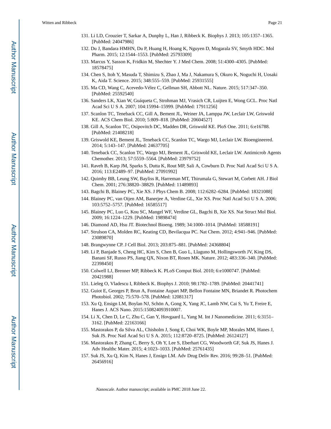- 131. Li LD, Crouzier T, Sarkar A, Dunphy L, Han J, Ribbeck K. Biophys J. 2013; 105:1357–1365. [PubMed: 24047986]
- 132. Du J, Bandara HMHN, Du P, Huang H, Hoang K, Nguyen D, Mogarala SV, Smyth HDC. Mol Pharm. 2015; 12:1544–1553. [PubMed: 25793309]
- 133. Marcus Y, Sasson K, Fridkin M, Shechter Y. J Med Chem. 2008; 51:4300–4305. [PubMed: 18578475]
- 134. Chen S, Itoh Y, Masuda T, Shimizu S, Zhao J, Ma J, Nakamura S, Okuro K, Noguchi H, Uosaki K, Aida T. Science. 2015; 348:555–559. [PubMed: 25931555]
- 135. Ma CD, Wang C, Acevedo-Vélez C, Gellman SH, Abbott NL. Nature. 2015; 517:347–350. [PubMed: 25592540]
- 136. Sanders LK, Xian W, Guáqueta C, Strohman MJ, Vrasich CR, Luijten E, Wong GCL. Proc Natl Acad Sci U S A. 2007; 104:15994–15999. [PubMed: 17911256]
- 137. Scanlon TC, Teneback CC, Gill A, Bement JL, Weiner JA, Lamppa JW, Leclair LW, Griswold KE. ACS Chem Biol. 2010; 5:809–818. [PubMed: 20604527]
- 138. Gill A, Scanlon TC, Osipovitch DC, Madden DR, Griswold KE. PloS One. 2011; 6:e16788. [PubMed: 21408218]
- 139. Griswold KE, Bement JL, Teneback CC, Scanlon TC, Wargo MJ, Leclair LW. Bioengineered. 2014; 5:143–147. [PubMed: 24637705]
- 140. Teneback CC, Scanlon TC, Wargo MJ, Bement JL, Griswold KE, Leclair LW. Antimicrob Agents Chemother. 2013; 57:5559–5564. [PubMed: 23979752]
- 141. Raveh B, Karp JM, Sparks S, Dutta K, Rout MP, Sali A, Cowburn D. Proc Natl Acad Sci U S A. 2016; 113:E2489–97. [PubMed: 27091992]
- 142. Quimby BB, Leung SW, Bayliss R, Harreman MT, Thirumala G, Stewart M, Corbett AH. J Biol Chem. 2001; 276:38820–38829. [PubMed: 11489893]
- 143. Bagchi B, Blainey PC, Xie XS. J Phys Chem B. 2008; 112:6282–6284. [PubMed: 18321088]
- 144. Blainey PC, van Oijen AM, Banerjee A, Verdine GL, Xie XS. Proc Natl Acad Sci U S A. 2006; 103:5752–5757. [PubMed: 16585517]
- 145. Blainey PC, Luo G, Kou SC, Mangel WF, Verdine GL, Bagchi B, Xie XS. Nat Struct Mol Biol. 2009; 16:1224–1229. [PubMed: 19898474]
- 146. Diamond AD, Hsu JT. Biotechnol Bioeng. 1989; 34:1000–1014. [PubMed: 18588191]
- 147. Strulson CA, Molden RC, Keating CD, Bevilacqua PC. Nat Chem. 2012; 4:941–946. [PubMed: 23089870]
- 148. Brangwynne CP. J Cell Biol. 2013; 203:875–881. [PubMed: 24368804]
- 149. Li P, Banjade S, Cheng HC, Kim S, Chen B, Guo L, Llaguno M, Hollingsworth JV, King DS, Banani SF, Russo PS, Jiang QX, Nixon BT, Rosen MK. Nature. 2012; 483:336–340. [PubMed: 22398450]
- 150. Colwell LJ, Brenner MP, Ribbeck K. PLoS Comput Biol. 2010; 6:e1000747. [PubMed: 20421988]
- 151. Lieleg O, Vladescu I, Ribbeck K. Biophys J. 2010; 98:1782–1789. [PubMed: 20441741]
- 152. Guiot E, Georges P, Brun A, Fontaine Aupart MP, Bellon Fontaine MN, Briandet R. Photochem Photobiol. 2002; 75:570–578. [PubMed: 12081317]
- 153. Xu Q, Ensign LM, Boylan NJ, Schön A, Gong X, Yang JC, Lamb NW, Cai S, Yu T, Freire E, Hanes J. ACS Nano. 2015:150824093910007.
- 154. Li X, Chen D, Le C, Zhu C, Gan Y, Hovgaard L, Yang M. Int J Nanomedicine. 2011; 6:3151– 3162. [PubMed: 22163166]
- 155. Mastorakos P, da Silva AL, Chisholm J, Song E, Choi WK, Boyle MP, Morales MM, Hanes J, Suk JS. Proc Natl Acad Sci U S A. 2015; 112:8720–8725. [PubMed: 26124127]
- 156. Mastorakos P, Zhang C, Berry S, Oh Y, Lee S, Eberhart CG, Woodworth GF, Suk JS, Hanes J. Adv Healthc Mater. 2015; 4:1023–1033. [PubMed: 25761435]
- 157. Suk JS, Xu Q, Kim N, Hanes J, Ensign LM. Adv Drug Deliv Rev. 2016; 99:28–51. [PubMed: 26456916]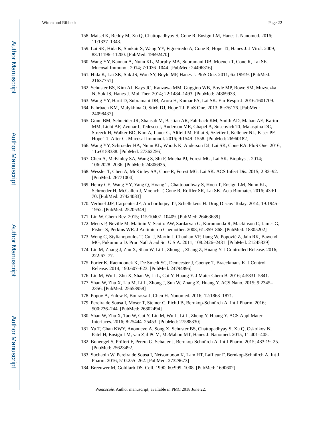- 158. Maisel K, Reddy M, Xu Q, Chattopadhyay S, Cone R, Ensign LM, Hanes J. Nanomed. 2016; 11:1337–1343.
- 159. Lai SK, Hida K, Shukair S, Wang YY, Figueiredo A, Cone R, Hope TJ, Hanes J. J Virol. 2009; 83:11196–11200. [PubMed: 19692470]
- 160. Wang YY, Kannan A, Nunn KL, Murphy MA, Subramani DB, Moench T, Cone R, Lai SK. Mucosal Immunol. 2014; 7:1036–1044. [PubMed: 24496316]
- 161. Hida K, Lai SK, Suk JS, Won SY, Boyle MP, Hanes J. PloS One. 2011; 6:e19919. [PubMed: 21637751]
- 162. Schuster BS, Kim AJ, Kays JC, Kanzawa MM, Guggino WB, Boyle MP, Rowe SM, Muzyczka N, Suk JS, Hanes J. Mol Ther. 2014; 22:1484–1493. [PubMed: 24869933]
- 163. Wang YY, Harit D, Subramani DB, Arora H, Kumar PA, Lai SK. Eur Respir J. 2016:1601709.
- 164. Fahrbach KM, Malykhina O, Stieh DJ, Hope TJ. PloS One. 2013; 8:e76176. [PubMed: 24098437]
- 165. Gunn BM, Schneider JR, Shansab M, Bastian AR, Fahrbach KM, Smith AD, Mahan AE, Karim MM, Licht AF, Zvonar I, Tedesco J, Anderson MR, Chapel A, Suscovich TJ, Malaspina DC, Streeck H, Walker BD, Kim A, Lauer G, Altfeld M, Pillai S, Szleifer I, Kelleher NL, Kiser PF, Hope TJ, Alter G. Mucosal Immunol. 2016; 9:1549–1558. [PubMed: 26960182]
- 166. Wang YY, Schroeder HA, Nunn KL, Woods K, Anderson DJ, Lai SK, Cone RA. PloS One. 2016; 11:e0158338. [PubMed: 27362256]
- 167. Chen A, McKinley SA, Wang S, Shi F, Mucha PJ, Forest MG, Lai SK. Biophys J. 2014; 106:2028–2036. [PubMed: 24806935]
- 168. Wessler T, Chen A, McKinley SA, Cone R, Forest MG, Lai SK. ACS Infect Dis. 2015; 2:82–92. [PubMed: 26771004]
- 169. Henry CE, Wang YY, Yang Q, Hoang T, Chattopadhyay S, Hoen T, Ensign LM, Nunn KL, Schroeder H, McCallen J, Moench T, Cone R, Roffler SR, Lai SK. Acta Biomater. 2016; 43:61– 70. [PubMed: 27424083]
- 170. Verhoef JJF, Carpenter JF, Anchordoquy TJ, Schellekens H. Drug Discov Today. 2014; 19:1945– 1952. [PubMed: 25205349]
- 171. Lin W. Chem Rev. 2015; 115:10407–10409. [PubMed: 26463639]
- 172. Meers P, Neville M, Malinin V, Scotto AW, Sardaryan G, Kurumunda R, Mackinson C, James G, Fisher S, Perkins WR. J Antimicrob Chemother. 2008; 61:859–868. [PubMed: 18305202]
- 173. Wong C, Stylianopoulos T, Cui J, Martin J, Chauhan VP, Jiang W, Popović Z, Jain RK, Bawendi MG, Fukumura D. Proc Natl Acad Sci U S A. 2011; 108:2426–2431. [PubMed: 21245339]
- 174. Liu M, Zhang J, Zhu X, Shan W, Li L, Zhong J, Zhang Z, Huang Y. J Controlled Release. 2016; 222:67–77.
- 175. Forier K, Raemdonck K, De Smedt SC, Demeester J, Coenye T, Braeckmans K. J Control Release. 2014; 190:607–623. [PubMed: 24794896]
- 176. Liu M, Wu L, Zhu X, Shan W, Li L, Cui Y, Huang Y. J Mater Chem B. 2016; 4:5831–5841.
- 177. Shan W, Zhu X, Liu M, Li L, Zhong J, Sun W, Zhang Z, Huang Y. ACS Nano. 2015; 9:2345– 2356. [PubMed: 25658958]
- 178. Popov A, Enlow E, Bourassa J, Chen H. Nanomed. 2016; 12:1863–1871.
- 179. Pereira de Sousa I, Moser T, Steiner C, Fichtl B, Bernkop-Schnürch A. Int J Pharm. 2016; 500:236–244. [PubMed: 26802494]
- 180. Shan W, Zhu X, Tao W, Cui Y, Liu M, Wu L, Li L, Zheng Y, Huang Y. ACS Appl Mater Interfaces. 2016; 8:25444–25453. [PubMed: 27588330]
- 181. Yu T, Chan KWY, Anonuevo A, Song X, Schuster BS, Chattopadhyay S, Xu Q, Oskolkov N, Patel H, Ensign LM, van Zjil PCM, McMahon MT, Hanes J. Nanomed. 2015; 11:401–405.
- 182. Bonengel S, Prüfert F, Perera G, Schauer J, Bernkop-Schnürch A. Int J Pharm. 2015; 483:19–25. [PubMed: 25623492]
- 183. Suchaoin W, Pereira de Sousa I, Netsomboon K, Lam HT, Laffleur F, Bernkop-Schnürch A. Int J Pharm. 2016; 510:255–262. [PubMed: 27329673]
- 184. Breeuwer M, Goldfarb DS. Cell. 1990; 60:999–1008. [PubMed: 1690602]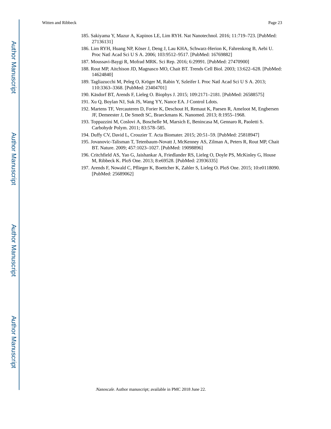- 185. Sakiyama Y, Mazur A, Kapinos LE, Lim RYH. Nat Nanotechnol. 2016; 11:719–723. [PubMed: 27136131]
- 186. Lim RYH, Huang NP, Köser J, Deng J, Lau KHA, Schwarz-Herion K, Fahrenkrog B, Aebi U. Proc Natl Acad Sci U S A. 2006; 103:9512–9517. [PubMed: 16769882]
- 187. Moussavi-Baygi R, Mofrad MRK. Sci Rep. 2016; 6:29991. [PubMed: 27470900]
- 188. Rout MP, Aitchison JD, Magnasco MO, Chait BT. Trends Cell Biol. 2003; 13:622–628. [PubMed: 14624840]
- 189. Tagliazucchi M, Peleg O, Kröger M, Rabin Y, Szleifer I. Proc Natl Acad Sci U S A. 2013; 110:3363–3368. [PubMed: 23404701]
- 190. Käsdorf BT, Arends F, Lieleg O. Biophys J. 2015; 109:2171–2181. [PubMed: 26588575]
- 191. Xu Q, Boylan NJ, Suk JS, Wang YY, Nance EA. J Control Ldots.
- 192. Martens TF, Vercauteren D, Forier K, Deschout H, Remaut K, Paesen R, Ameloot M, Engbersen JF, Demeester J, De Smedt SC, Braeckmans K. Nanomed. 2013; 8:1955–1968.
- 193. Toppazzini M, Coslovi A, Boschelle M, Marsich E, Benincasa M, Gennaro R, Paoletti S. Carbohydr Polym. 2011; 83:578–585.
- 194. Duffy CV, David L, Crouzier T. Acta Biomater. 2015; 20:51–59. [PubMed: 25818947]
- 195. Jovanovic-Talisman T, Tetenbaum-Novatt J, McKenney AS, Zilman A, Peters R, Rout MP, Chait BT. Nature. 2009; 457:1023–1027. [PubMed: 19098896]
- 196. Critchfield AS, Yao G, Jaishankar A, Friedlander RS, Lieleg O, Doyle PS, McKinley G, House M, Ribbeck K. PloS One. 2013; 8:e69528. [PubMed: 23936335]
- 197. Arends F, Nowald C, Pflieger K, Boettcher K, Zahler S, Lieleg O. PloS One. 2015; 10:e0118090. [PubMed: 25689062]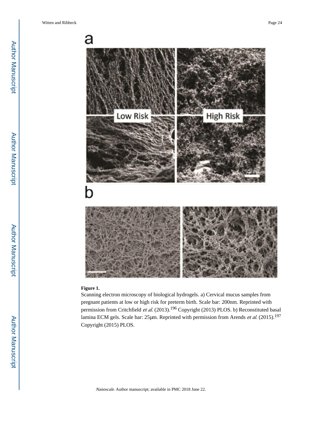

#### **Figure 1.**

Scanning electron microscopy of biological hydrogels. a) Cervical mucus samples from pregnant patients at low or high risk for preterm birth. Scale bar: 200nm. Reprinted with permission from Critchfield et al. (2013).<sup>196</sup> Copyright (2013) PLOS. b) Reconstituted basal lamina ECM gels. Scale bar: 25μm. Reprinted with permission from Arends et al. (2015).<sup>197</sup> Copyright (2015) PLOS.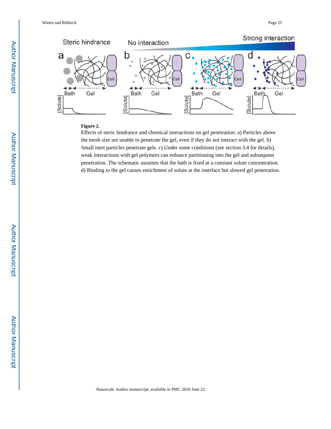

### **Figure 2.**

Effects of steric hindrance and chemical interactions on gel penetration. a) Particles above the mesh size are unable to penetrate the gel, even if they do not interact with the gel. b) Small inert particles penetrate gels. c) Under some conditions (see section 3.4 for details), weak interactions with gel polymers can enhance partitioning into the gel and subsequent penetration. The schematic assumes that the bath is fixed at a constant solute concentration. d) Binding to the gel causes enrichment of solute at the interface but slowed gel penetration.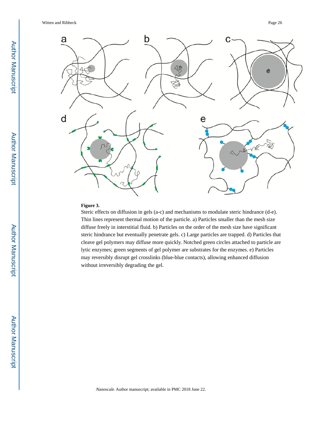

### **Figure 3.**

Steric effects on diffusion in gels (a-c) and mechanisms to modulate steric hindrance (d-e). Thin lines represent thermal motion of the particle. a) Particles smaller than the mesh size diffuse freely in interstitial fluid. b) Particles on the order of the mesh size have significant steric hindrance but eventually penetrate gels. c) Large particles are trapped. d) Particles that cleave gel polymers may diffuse more quickly. Notched green circles attached to particle are lytic enzymes; green segments of gel polymer are substrates for the enzymes. e) Particles may reversibly disrupt gel crosslinks (blue-blue contacts), allowing enhanced diffusion without irreversibly degrading the gel.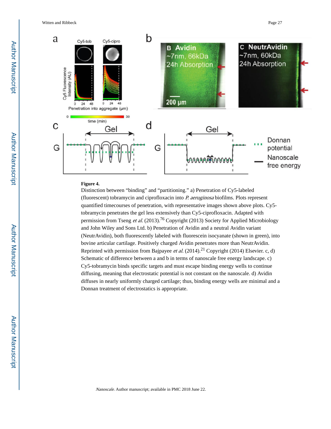Witten and Ribbeck Page 27



### **Figure 4.**

Distinction between "binding" and "partitioning." a) Penetration of Cy5-labeled (fluorescent) tobramycin and ciprofloxacin into P. aeruginosa biofilms. Plots represent quantified timecourses of penetration, with representative images shown above plots. Cy5 tobramycin penetrates the gel less extensively than Cy5-ciprofloxacin. Adapted with permission from Tseng et al.  $(2013)$ .<sup>76</sup> Copyright (2013) Society for Applied Microbiology and John Wiley and Sons Ltd. b) Penetration of Avidin and a neutral Avidin variant (NeutrAvidin), both fluorescently labeled with fluorescein isocyanate (shown in green), into bovine articular cartilage. Positively charged Avidin penetrates more than NeutrAvidin. Reprinted with permission from Bajpayee et al.  $(2014).^{21}$  Copyright (2014) Elsevier. c, d) Schematic of difference between a and b in terms of nanoscale free energy landscape. c) Cy5-tobramycin binds specific targets and must escape binding energy wells to continue diffusing, meaning that electrostatic potential is not constant on the nanoscale. d) Avidin diffuses in nearly uniformly charged cartilage; thus, binding energy wells are minimal and a Donnan treatment of electrostatics is appropriate.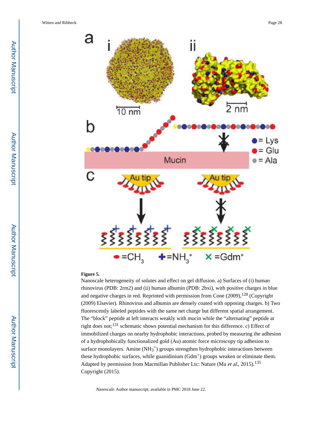

#### **Figure 5.**

Nanoscale heterogeneity of solutes and effect on gel diffusion. a) Surfaces of (i) human rhinovirus (PDB: 2rm2) and (ii) human albumin (PDB: 2bxi), with positive charges in blue and negative charges in red. Reprinted with permission from Cone  $(2009)$ ,  $^{128}$  (Copyright (2009) Elsevier). Rhinovirus and albumin are densely coated with opposing charges. b) Two fluorescently labeled peptides with the same net charge but different spatial arrangement. The "block" peptide at left interacts weakly with mucin while the "alternating" peptide at right does not;131 schematic shows potential mechanism for this difference. c) Effect of immobilized charges on nearby hydrophobic interactions, probed by measuring the adhesion of a hydrophobically functionalized gold (Au) atomic force microscopy tip adhesion to surface monolayers. Amine  $(NH_3^+)$  groups strengthen hydrophobic interactions between these hydrophobic surfaces, while guanidinium (Gdm+) groups weaken or eliminate them. Adapted by permission from Macmillan Publisher Ltc: Nature (Ma et al., 2015).<sup>135</sup> Copyright (2015).